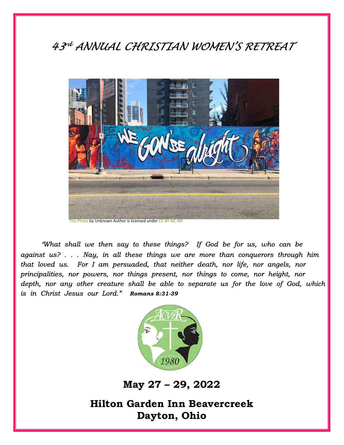# 43<sup>rd</sup> ANNUAL CHRISTIAN WOMEN'S RETREAT  $\|\hspace{-.06cm}$



"*What shall we then say to these things? If God be for us, who can be against us? . . . Nay, in all these things we are more than conquerors through him that loved us. For I am persuaded, that neither death, nor life, nor angels, nor principalities, nor powers, nor things present, nor things to come, nor height, nor depth, nor any other creature shall be able to separate us for the love of God, which is in Christ Jesus our Lord." Romans 8:31-39*



May 27 – 29, 2022

Hilton Garden Inn Beavercreek Dayton, Ohio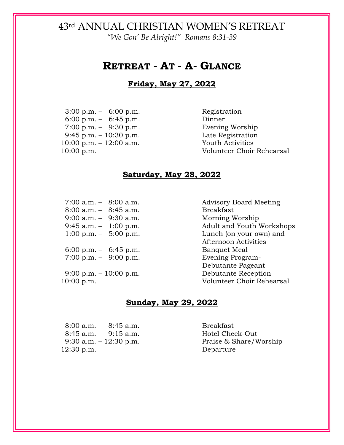"We Gon' Be Alright!" Romans 8:31-39

### RETREAT - AT - A- GLANCE

#### Friday, May 27, 2022

3:00 p.m. – 6:00 p.m. Registration 6:00 p.m. – 6:45 p.m. Dinner 7:00 p.m. – 9:30 p.m. Evening Worship 9:45 p.m. – 10:30 p.m. Late Registration 10:00 p.m. – 12:00 a.m. Youth Activities

10:00 p.m. Volunteer Choir Rehearsal

#### Saturday, May 28, 2022

7:00 a.m. – 8:00 a.m. Advisory Board Meeting 8:00 a.m. – 8:45 a.m. Breakfast 9:00 a.m. – 9:30 a.m. Morning Worship<br>9:45 a.m. – 1:00 p.m. Adult and Youth V

 6:00 p.m. – 6:45 p.m. Banquet Meal 7:00 p.m. – 9:00 p.m. Evening Program-

Adult and Youth Workshops 1:00 p.m. – 5:00 p.m. Lunch (on your own) and Afternoon Activities Debutante Pageant 9:00 p.m. – 10:00 p.m. Debutante Reception 10:00 p.m. Volunteer Choir Rehearsal

#### Sunday, May 29, 2022

8:00 a.m. – 8:45 a.m. Breakfast 8:45 a.m. – 9:15 a.m. Hotel Check-Out 12:30 p.m. Departure

9:30 a.m. – 12:30 p.m. Praise & Share/Worship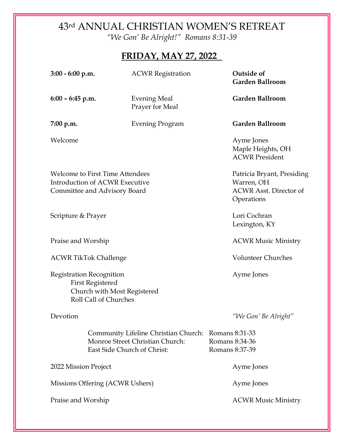"We Gon' Be Alright!" Romans 8:31-39

# FRIDAY, MAY 27, 2022

| $3:00 - 6:00$ p.m.                                                                                                 | <b>ACWR</b> Registration                                                                               | Outside of<br><b>Garden Ballroom</b>                     |
|--------------------------------------------------------------------------------------------------------------------|--------------------------------------------------------------------------------------------------------|----------------------------------------------------------|
| $6:00 - 6:45$ p.m.                                                                                                 | <b>Evening Meal</b><br>Prayer for Meal                                                                 | <b>Garden Ballroom</b>                                   |
| 7:00 p.m.                                                                                                          | <b>Evening Program</b>                                                                                 | <b>Garden Ballroom</b>                                   |
| Welcome                                                                                                            |                                                                                                        | Ayme Jones<br>Maple Heights, OH<br><b>ACWR President</b> |
| <b>Welcome to First Time Attendees</b><br><b>Introduction of ACWR Executive</b><br>Committee and Advisory Board    | Patricia Bryant, Presiding<br>Warren, OH<br><b>ACWR Asst. Director of</b><br>Operations                |                                                          |
| Scripture & Prayer                                                                                                 |                                                                                                        | Lori Cochran<br>Lexington, KY                            |
| Praise and Worship                                                                                                 |                                                                                                        | <b>ACWR Music Ministry</b>                               |
| <b>ACWR TikTok Challenge</b>                                                                                       |                                                                                                        | <b>Volunteer Churches</b>                                |
| <b>Registration Recognition</b><br><b>First Registered</b><br>Church with Most Registered<br>Roll Call of Churches |                                                                                                        | Ayme Jones                                               |
| Devotion                                                                                                           |                                                                                                        | "We Gon' Be Alright"                                     |
|                                                                                                                    | Community Lifeline Christian Church:<br>Monroe Street Christian Church:<br>East Side Church of Christ: | Romans 8:31-33<br>Romans 8:34-36<br>Romans 8:37-39       |
| 2022 Mission Project                                                                                               |                                                                                                        | Ayme Jones                                               |
| Missions Offering (ACWR Ushers)                                                                                    |                                                                                                        | Ayme Jones                                               |
| Praise and Worship                                                                                                 |                                                                                                        | <b>ACWR Music Ministry</b>                               |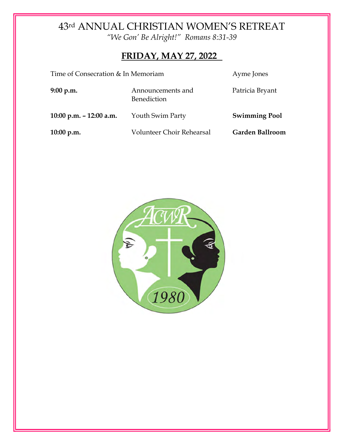"We Gon' Be Alright!" Romans 8:31-39

# FRIDAY, MAY 27, 2022

| Time of Consecration & In Memoriam | Ayme Jones                       |                      |
|------------------------------------|----------------------------------|----------------------|
| 9:00 p.m.                          | Announcements and<br>Benediction | Patricia Bryant      |
| 10:00 p.m. $-$ 12:00 a.m.          | Youth Swim Party                 | <b>Swimming Pool</b> |
| $10:00$ p.m.                       | Volunteer Choir Rehearsal        | Garden Ballroom      |

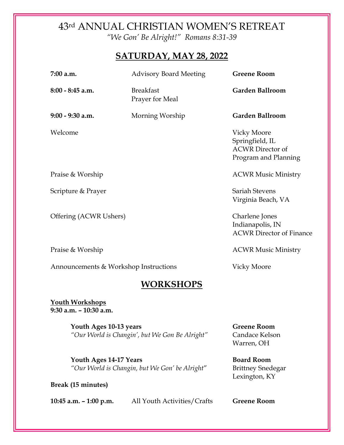"We Gon' Be Alright!" Romans 8:31-39

#### SATURDAY, MAY 28, 2022

| 7:00 a.m.                             | <b>Advisory Board Meeting</b>       | <b>Greene Room</b>                                                                       |  |  |  |
|---------------------------------------|-------------------------------------|------------------------------------------------------------------------------------------|--|--|--|
| $8:00 - 8:45$ a.m.                    | <b>Breakfast</b><br>Prayer for Meal | <b>Garden Ballroom</b>                                                                   |  |  |  |
| $9:00 - 9:30$ a.m.                    | Morning Worship                     | <b>Garden Ballroom</b>                                                                   |  |  |  |
| Welcome                               |                                     | <b>Vicky Moore</b><br>Springfield, IL<br><b>ACWR</b> Director of<br>Program and Planning |  |  |  |
| Praise & Worship                      |                                     | <b>ACWR Music Ministry</b>                                                               |  |  |  |
| Scripture & Prayer                    |                                     | <b>Sariah Stevens</b><br>Virginia Beach, VA                                              |  |  |  |
| Offering (ACWR Ushers)                |                                     | Charlene Jones<br>Indianapolis, IN<br><b>ACWR Director of Finance</b>                    |  |  |  |
| Praise & Worship                      |                                     | <b>ACWR Music Ministry</b>                                                               |  |  |  |
| Announcements & Workshop Instructions |                                     | <b>Vicky Moore</b>                                                                       |  |  |  |
| <b>WORKSHOPS</b>                      |                                     |                                                                                          |  |  |  |

Youth Workshops 9:30 a.m. – 10:30 a.m.

> Youth Ages 10-13 years Greene Room "Our World is Changin', but We Gon Be Alright" Candace Kelson

Warren, OH

Youth Ages 14-17 Years Board Room "Our World is Changin, but We Gon' be Alright" Brittney Snedegar Lexington, KY

Break (15 minutes)

10:45 a.m. – 1:00 p.m. All Youth Activities/Crafts Greene Room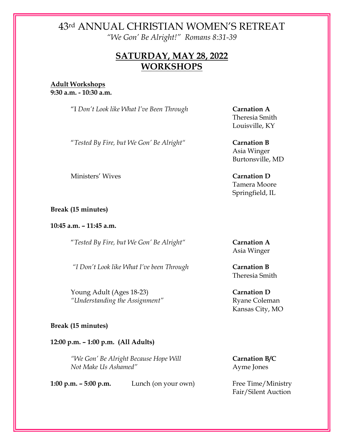"We Gon' Be Alright!" Romans 8:31-39

### SATURDAY, MAY 28, 2022 WORKSHOPS

Adult Workshops 9:30 a.m. - 10:30 a.m.

"I Don't Look like What I've Been Through Carnation A

"Tested By Fire, but We Gon' Be Alright" Carnation B

Ministers' Wives Carnation D

Break (15 minutes)

10:45 a.m. – 11:45 a.m.

"Tested By Fire, but We Gon' Be Alright" Carnation A

"I Don't Look like What I've been Through Carnation B

Young Adult (Ages 18-23) Carnation D "Understanding the Assignment" Ryane Coleman

#### Break (15 minutes)

12:00 p.m. – 1:00 p.m. (All Adults)

"We Gon' Be Alright Because Hope Will **Carnation B/C** Not Make Us Ashamed" Ayme Jones

1:00  $p.m. - 5:00$   $p.m.$  Lunch (on your own) Free Time/Ministry

Theresia Smith Louisville, KY

Asia Winger Burtonsville, MD

 Tamera Moore Springfield, IL

Asia Winger

Theresia Smith

Kansas City, MO

Fair/Silent Auction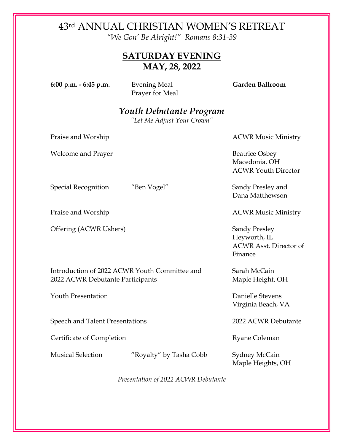"We Gon' Be Alright!" Romans 8:31-39

### SATURDAY EVENING MAY, 28, 2022

6:00 p.m. - 6:45 p.m. Evening Meal Garden Ballroom

Prayer for Meal

## Youth Debutante Program

"Let Me Adjust Your Crown"

Praise and Worship **ACWR** Music Ministry

Welcome and Prayer and Exercise osbey Beatrice Osbey

 Macedonia, OH ACWR Youth Director

Special Recognition "Ben Vogel" Sandy Presley and Dana Matthewson

Praise and Worship **ACWR** Music Ministry

 Heyworth, IL ACWR Asst. Director of Finance

Virginia Beach, VA

Maple Heights, OH

Presentation of 2022 ACWR Debutante

Offering (ACWR Ushers) Sandy Presley

Introduction of 2022 ACWR Youth Committee and Sarah McCain 2022 ACWR Debutante Participants Maple Height, OH

Youth Presentation Danielle Stevens

Speech and Talent Presentations 2022 ACWR Debutante

Certificate of Completion Ryane Coleman

Musical Selection "Royalty" by Tasha Cobb Sydney McCain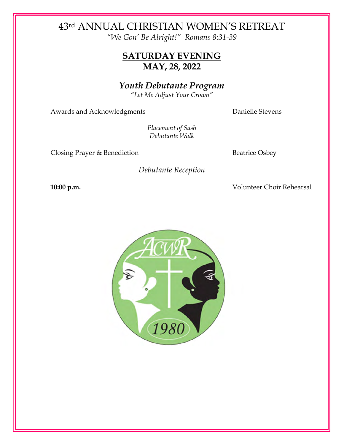"We Gon' Be Alright!" Romans 8:31-39

### SATURDAY EVENING MAY, 28, 2022

Youth Debutante Program

"Let Me Adjust Your Crown"

Awards and Acknowledgments **Danielle Stevens** 

Placement of Sash Debutante Walk

Closing Prayer & Benediction Beatrice Osbey

Debutante Reception

10:00 p.m. Volunteer Choir Rehearsal